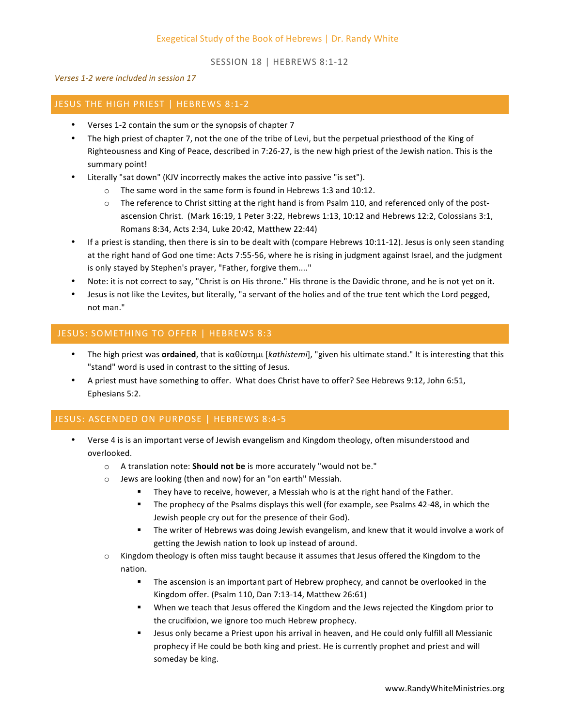SESSION 18 | HEBREWS 8:1-12

*Verses 1-2 were included in session 17*

#### JESUS THE HIGH PRIEST | HEBREWS 8:1-2

- Verses 1-2 contain the sum or the synopsis of chapter 7
- The high priest of chapter 7, not the one of the tribe of Levi, but the perpetual priesthood of the King of Righteousness and King of Peace, described in 7:26-27, is the new high priest of the Jewish nation. This is the summary point!
- Literally "sat down" (KJV incorrectly makes the active into passive "is set").
	- $\circ$  The same word in the same form is found in Hebrews 1:3 and 10:12.
	- $\circ$  The reference to Christ sitting at the right hand is from Psalm 110, and referenced only of the postascension Christ. (Mark 16:19, 1 Peter 3:22, Hebrews 1:13, 10:12 and Hebrews 12:2, Colossians 3:1, Romans 8:34, Acts 2:34, Luke 20:42, Matthew 22:44)
- If a priest is standing, then there is sin to be dealt with (compare Hebrews 10:11-12). Jesus is only seen standing at the right hand of God one time: Acts 7:55-56, where he is rising in judgment against Israel, and the judgment is only stayed by Stephen's prayer, "Father, forgive them...."
- Note: it is not correct to say, "Christ is on His throne." His throne is the Davidic throne, and he is not yet on it.
- Jesus is not like the Levites, but literally, "a servant of the holies and of the true tent which the Lord pegged, not man."

### JESUS: SOMETHING TO OFFER | HEBREWS 8:3

- The high priest was **ordained**, that is καθίστημι [kathistemi], "given his ultimate stand." It is interesting that this "stand" word is used in contrast to the sitting of Jesus.
- A priest must have something to offer. What does Christ have to offer? See Hebrews 9:12, John 6:51, Ephesians 5:2.

# JESUS: ASCENDED ON PURPOSE | HEBREWS 8:4-5

- Verse 4 is is an important verse of Jewish evangelism and Kingdom theology, often misunderstood and overlooked.
	- o A translation note: **Should not be** is more accurately "would not be."
	- $\circ$  Jews are looking (then and now) for an "on earth" Messiah.
		- They have to receive, however, a Messiah who is at the right hand of the Father.
		- **■** The prophecy of the Psalms displays this well (for example, see Psalms 42-48, in which the Jewish people cry out for the presence of their God).
		- The writer of Hebrews was doing Jewish evangelism, and knew that it would involve a work of getting the Jewish nation to look up instead of around.
	- $\circ$  Kingdom theology is often miss taught because it assumes that Jesus offered the Kingdom to the nation.
		- The ascension is an important part of Hebrew prophecy, and cannot be overlooked in the Kingdom offer. (Psalm 110, Dan 7:13-14, Matthew 26:61)
		- When we teach that Jesus offered the Kingdom and the Jews rejected the Kingdom prior to the crucifixion, we ignore too much Hebrew prophecy.
		- Jesus only became a Priest upon his arrival in heaven, and He could only fulfill all Messianic prophecy if He could be both king and priest. He is currently prophet and priest and will someday be king.